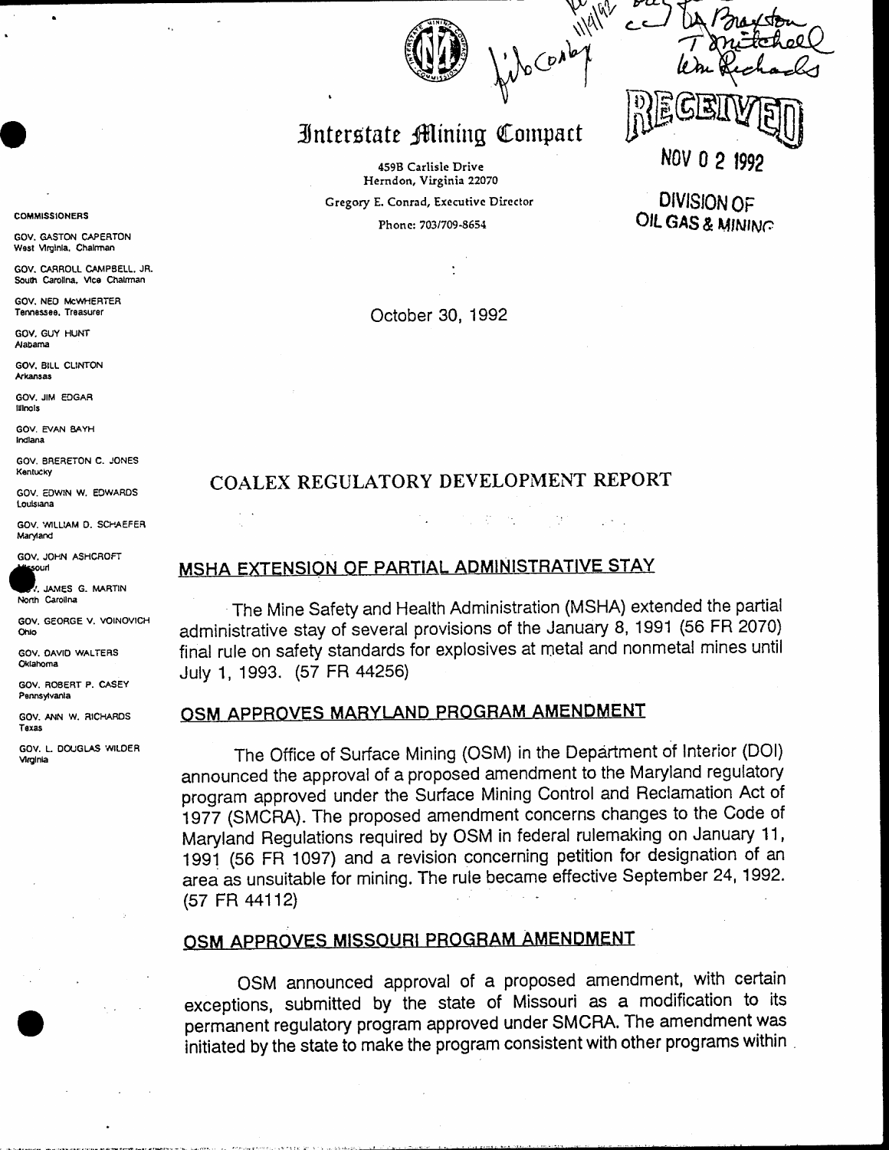## Interstate Mining Compact

459B Carlisle Drive Herndon, Virginia 22070 Gregory E. Conrad, Executive Director

Phone: 703/709-8654

nov n DIVISION OF

OIL GAS & MINING

October 30, 1992

### COALEX REGULATORY DEVELOPMENT REPORT

## MSHA EXTENSION OF PARTIAL ADMINISTRATIVE STAY

The Mine Safety and Health Administration (MSHA) extended the partial administrative stay of several provisions of the January 8, 1991 (56 FR 2070) final rule on safety standards for explosives at metal and nonmetal mines until July 1, 1993. (57 FR 44256)

### OSM APPROVES MARYLAND PROGRAM AMENDMENT

The Office of Surface Mining (OSM) in the Department of Interior (DOI) announced the approval of a proposed amendment to the Maryland regulatory program approved under the Surface Mining Control and Reclamation Act of 1977 (SMCRA). The proposed amendment concerns changes to the Code of Maryland Regulations required by OSM in federal rulemaking on January 11, 1991 (56 FR 1097) and a revision concerning petition for designation of an area as unsuitable for mining. The rule became effective September 24, 1992. (57 FR 44112)

### OSM APPROVES MISSOURI PROGRAM AMENDMENT

OSM announced approval of a proposed amendment, with certain exceptions, submitted by the state of Missouri as a modification to its permanent regulatory program approved under SMCRA. The amendment was initiated by the state to make the program consistent with other programs within

#### **COMMISSIONERS**

GOV. GASTON CAPERTON West Virginia, Chairman

GOV, CARROLL CAMPBELL, JR. South Carolina, Vice Chalman

GOV NED MCWHERTER Tennessee, Treasurer

GOV, GUY HUNT Alabama

GOV, BILL CLINTON Arkansas

GOV. JIM EDGAR lilnois

GOV. EVAN BAYH Indiana

GOV. BRERETON C. JONES Kentucky

GOV FOWIN W. EDWARDS Louisiana

GOV. WILLIAM D. SCHAEFER Maryland

GOV. JOHN ASHCROFT ouri

JAMES G. MARTIN North Carolina

GOV. GEORGE V. VOINOVICH Ohio

GOV. DAVID WALTERS Oklahoma

GOV ROBERT P. CASEY Pennsylvania

GOV. ANN W. RICHARDS Texas

GOV. L. DOUGLAS WILDER Virginia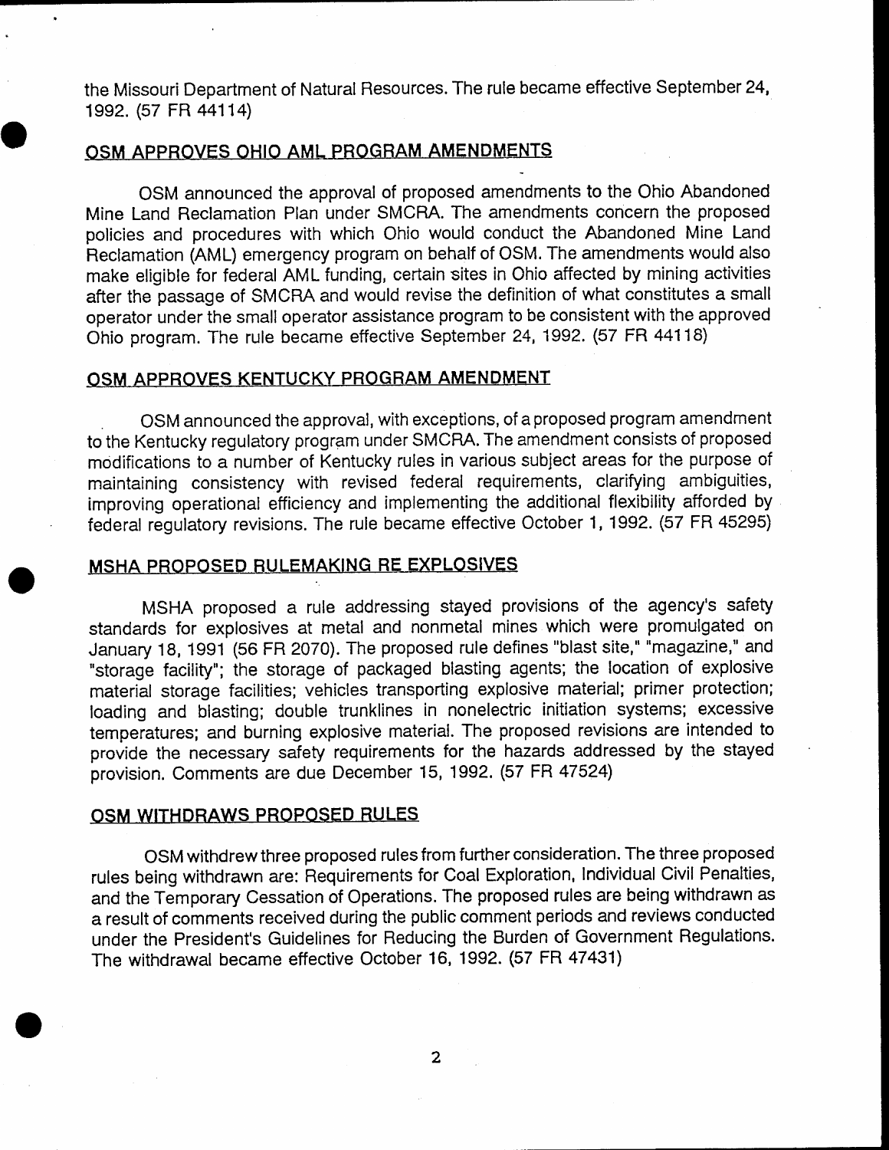the Missouri Department of Natural Resources. The rule became effective September 24, 1992. (57 FR 44114)

### OSM APPROVES OHIO AML PROGRAM AMENDMENTS

OSM announced the approval of proposed amendments to the Ohio Abandoned Mine Land Reclamation Plan under SMCRA. The amendments concern the proposed policies and procedures with which Ohio would conduct the Abandoned Mine Land Fleclamation (AML) emergency program on behalf of OSM. The amendments would also make eligible for federal AML funding, certain sites in Ohio affected by mining activities atter the passage of SMCRA and would revise the definition of what constitutes a small operator under the small operator assistance program to be consistent with the approved Ohio program. The rule became effective September 24, i992. (57 FR 441 18)

### OSM APPROVES KENTUCKY PROGRAM AMENDMENT

. OSM announced the approval, with exceptions, of a proposed program amendment to the Kentucky regulatory program under SMCRA. The amendment consists of proposed modifications to a number of Kentucky rules in various subject areas for the purpose of maintaining consistency with revised federal requirements, clarifying ambiguities, improving operational efficiency and implementing the additional flexibility afforded by federal regulatory revisions. The rule became effective October 1, 1992. (57 FR 45295)

#### MSHA PROPOSED RULEMAKING RE EXPLOSIVES

MSHA proposed a rule addressing stayed provisions of the agency's safety standards for explosives at metal and nonmetal mines which were promulgated on January 18, 1991 (56 FR 2070). The proposed rule defines "blast site," "magazine," and "storage facility"; the storage of packaged blasting agents; the location of explosive material storage facilities; vehicles transporting explosive material; primer protection; loading and blasting; double trunklines in nonelectric initiation systems; excessive temperatures; and burning explosive material. The proposed revisions are intended to provide the necessary safety requirements for the hazards addressed by the stayed provision. Comments are due December 15, 1992. (57 FR 47524)

### OSM WITHDRAWS PROPOSED RULES

OSM withdrew three proposed rules from further consideration. The three proposed rules being withdrawn are: Requirements for Coal Exploration, Individual Civit Penalties, and the Temporary Cessation of Operations. The proposed rules are being withdrawn as a result of comments received during the public comment periods and reviews conducted under the President's Guidelines for Reducing the Burden of Government Regulations. The withdrawal became effective October 16, 1992. (57 FR 47431)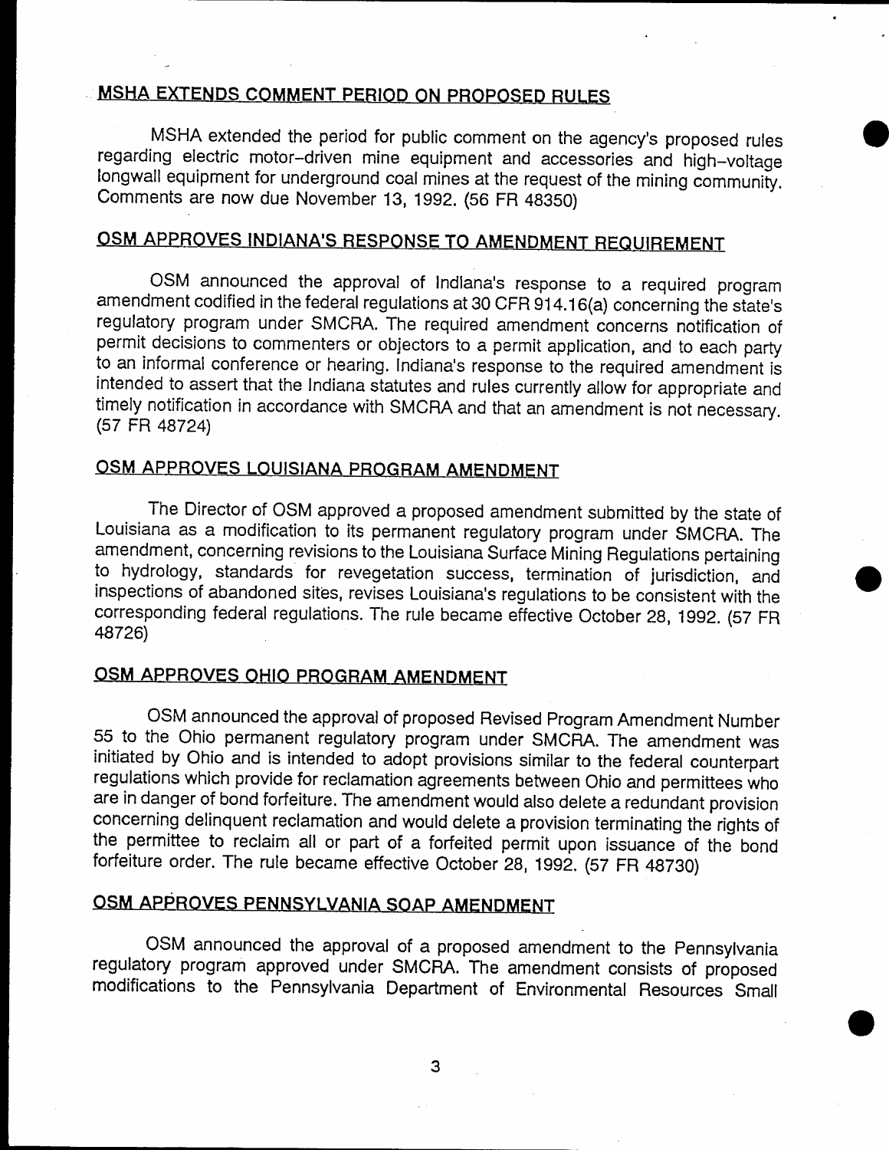## MSHA EXTENDS COMMENT PERIOD ON PROPOSED RULES

MSHA extended the period for public comment on the agency's proposed rules regarding electric motor-driven mine equipment and accessories and high-voltage longwall equipment for underground coal mines at the request of the mining community. Comments are now due November 13, 1992. (56 FR 48350)

## OSM APPROVES INDIANA'S RESPONSE TO AMENDMENT REQUIREMENT

OSM announced the approval of Indlana's response to a required program amendment codified in the federal regulations at 30 CFR 914.16(a) concerning the state's regulatory program under SMCRA. The required amendment concerns notification of permit decisions to commenters or objectors to a permit application, and to each parfy to an informal conference or hearing. Indiana's response to the required amendment is intended to assert that the Indiana statutes and rules currently allow for appropriate and timely notification in accordance with SMCRA and that an amendment is not necessary. (57 FR 45724)

## OSM APPROVES LOUISIANA PROGRAM AMENDMENT

The Director of OSM approved a proposed amendment submitted by the state of Louisiana as a modification to its permanent regulatory program under SMCHA. The amendment, concerning revisions to the Louisiana Surface Mining Regulations pertaining to hydrology, standards for revegetation success, termination of jurisdiction, and inspections of abandoned sites, revises Louisiana's regulations to be consistent with the corresponding federal regulations. The rule became effective October 28, 1gg2. (S7 FR 48726)

## OSM APPROVES OHIO PROGRAM AMENDMENT

OSM announced the approval of proposed Revised Program Amendment Number 55 to the Ohio permanent regulatory program under SMCRA. The amendment was initiated by Ohio and is intended to adopt provisions similar to the federal counterpaft regulations which provide for reclamation agreements between Ohio and permittees who are in danger of bond forfeiture. The amendment would also delete a redundant provision<br>concerning delinquent reclamation and would delete a provision terminating the rights of the permittee to reclaim all or part of a forfeited permit upon issuance of the bond forfeiture order. The rule became etfective october 28, 1992. (57 Fn 4s730)

## OSM APPROVES PENNSYLVANIA SOAP AMENDMENT

OSM announced the approval of a proposed amendment to the Pennsylvania regulatory program approved under SMCRA. The amendment consists of proposed modifications to the Pennsylvania Department of Environmental Resources Small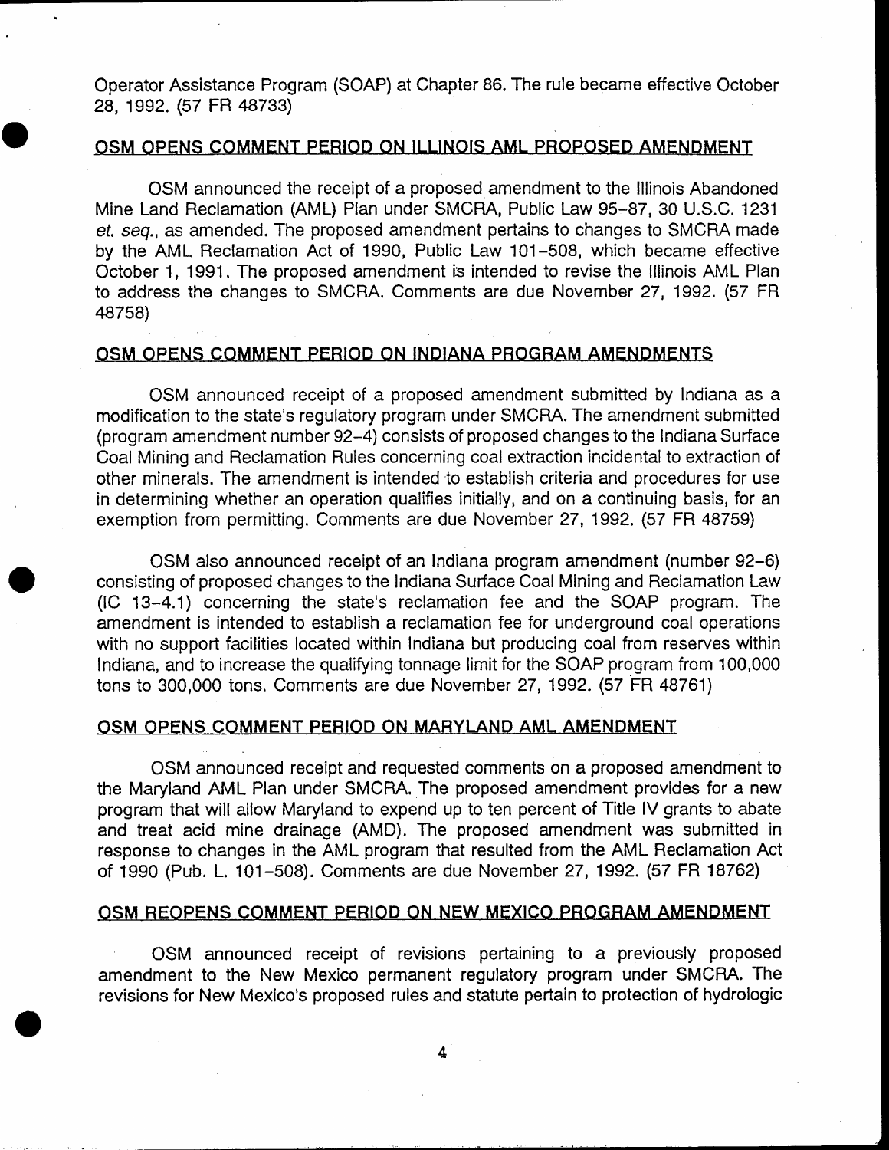Operator Assistance Program (SOAP) at Chapter 86. The rule became effective October 28, 1992. (57 FR 48733)

### OSM OPENS COMMENT PERIOD ON ILLINOIS AML PROPOSED AMENDMENT

OSM announced the receipt of a proposed amendment to the lllinois Abandoned Mine Land Reclamation (AML) Plan under SMCRA, Public Law 95-87, 30 U.S.C. 1231 ef. seg., as amended. The proposed amendment pertains to changes to SMCHA made by the AML Reclamation Act of 1990, Public Law 101-508, which became effective October 1, 1991. The proposed amendment is intended to revise the Illinois AML Plan to address the changes to SMCRA. Comments are due November 27, 1992. (57 FR 48758)

#### OSM OPENS COMMENT PERIOD ON INDIANA PROGRAM AMENDMENTS.

OSM announced receipt of a proposed amendment submitted by lndiana as a modification to the state's regulatory program under SMCRA. The amendment submitted (program amendment number g2-4) consists of proposed changes to the lndiana Surface Coal Mining and Reclamation Rules concerning coal extraction incidental to extraction of other minerals. The amendment is intended to establish criteria and procedures for use in deterrnining whether an operation qualifies initially, and on a continuing basis, for an exemption from permitting. Comments are due November 27, 1992. (57 FR 48759)

OSM also announced receipt of an lndiana program amendment (number 92-6) consisting of proposed changes to the Indiana Surface Coal Mining and Reclamation Law (IC 13-4.1) concerning the state's reclamation fee and the SOAP program. The amendment is intended to establish a reclamation fee for underground coal operations with no support facilities located within Indiana but producing coal from reserves within Indiana, and to increase the qualifying tonnage limit for the SOAP program from 100,000 tons to 300,000 tons. Comments are due November 27, 1992. (57 FR 48761)

### OSM OPENS COMMENT PERIOD ON MARYLAND AML AMENDMENT

OSM announced receipt and requested cornments on a proposed amendment to the Maryland AML Plan under SMCRA. The proposed amendment provides for a new program that will allow Maryland to expend up to ten percent of Title lV grants to abate and treat acid mine drainage (AMD). The proposed amendrnent was submitted in response to changes in the AML program that resulted from the AML Reclamation Act of 1990 (Pub. L. 101-50S). Comments are due November 27,1992. (57 FR 18762)

#### OSM REOPENS COMMENT PERIOD ON NEW MEXICO PROGRAM AMENDMENT

OSM announced receipt of revisions pertaining to a previousty proposed amendment to the New Mexico permanent regulatory program under SMCRA. The revisions for New Mexico's proposed rules and statute pertain to protection of hydrologic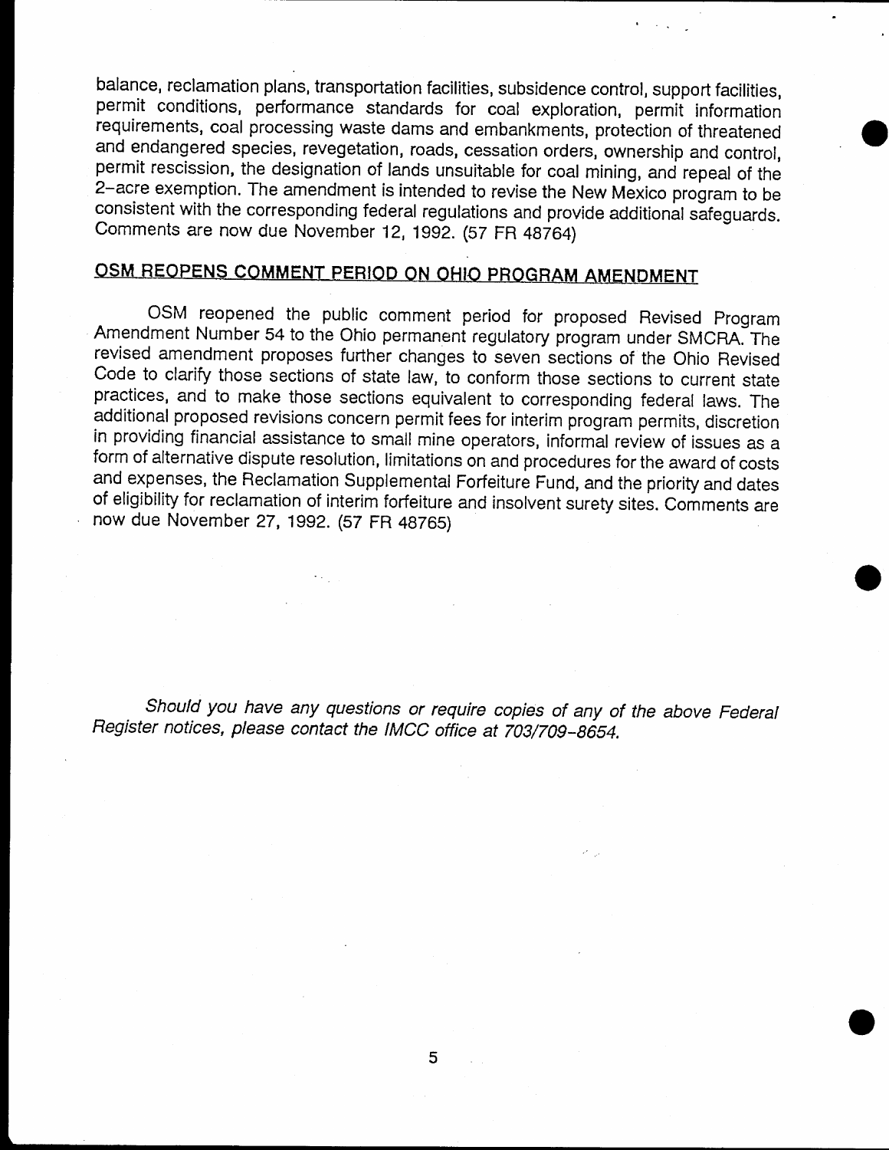balance, reclamation plans, transportation facilities, subsidence control, support facilities, permit conditions, performance standards for coal exploration, permit information requirements, coal processing waste dams and embankments, protection of threatened and endangered species, revegetation, roads, cessation orders, ownership and control, permit rescission, the designation of lands unsuitable for coal mining, and repeal of the 2-acre exemption. The amendment is intended to revise the New Mexico program to be consistent with the corresponding federal regulations and provide additional safeguards. comments are now due November 12, 1992. (s7 FR 4s764)

## OSM REOPENS COMMENT PERIOD ON OHIO PROGRAM AMENDMENT

OSM reopened the public comment period for proposed Revised Program Amendment Number 54 to the Ohio permanent regulatory program under SMCRA. The revised amendment proposes further changes to seven sections of the Ohio Revised Code to clarify those sections of state law, to conform those sections to current state practices, and to make those sections equivalent to corresponding federal laws. The additional proposed revisions concern permit fees for interim program permits, discretion in providing financial assistance to small mine operators, informal review of issues as a form of alternative dispute resolution, limitations on and procedures for the award of costs and expenses, the Reclamation Supplemental Forfeiture Fund, and the priority and dates of eligibility for reclamation of interim forfeiture and insolvent surety sites. Comments are now due November 27, 1992. (57 FR 48765)

Should you have any questions or require copies of any of the above Federal Register notices, please contact the IMCC office at 703/709-8654.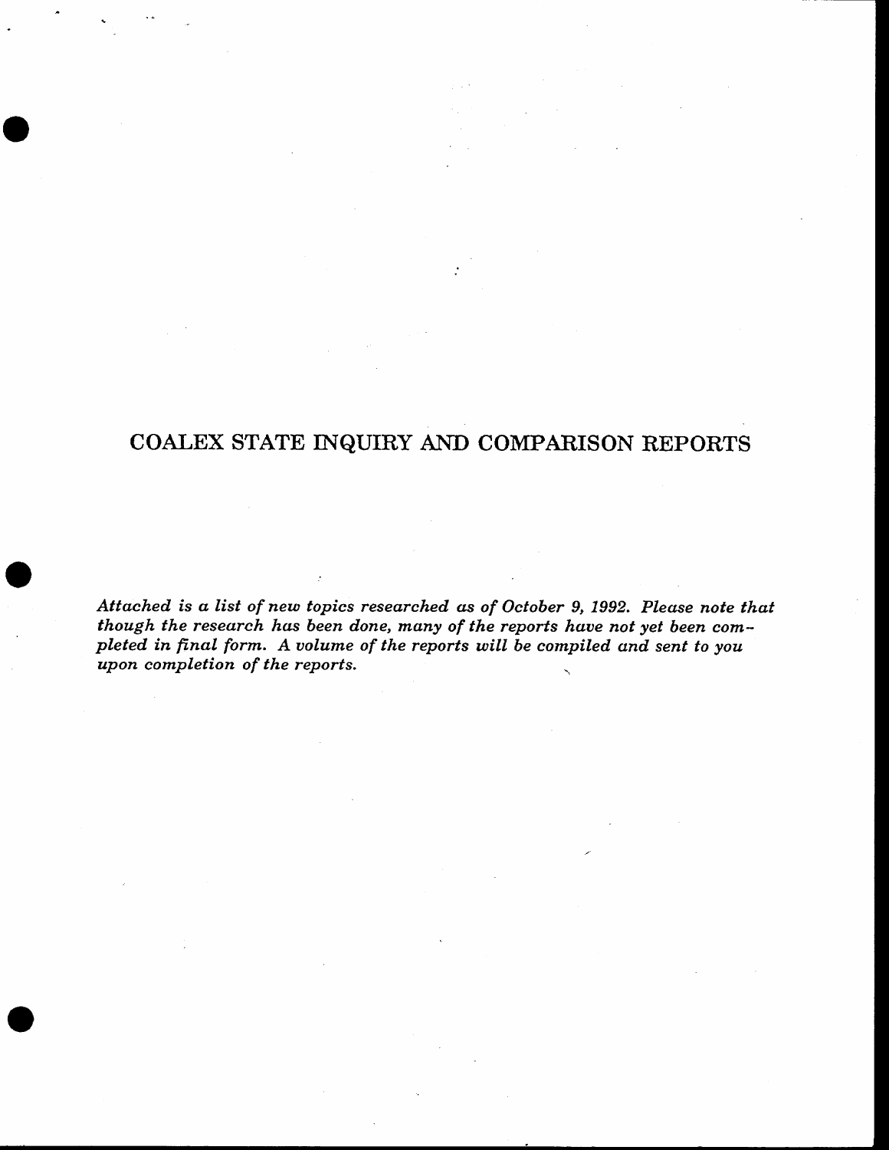## COALEX STATE INQUIRY AND COMPARISON REPORTS

Attached is a list of new topics researched as of October 9, 1992. Please note that though the research has been done, many of the reports have not yet been completed in final form. A volume of the reports will be compiled and sent to you upon completion of the reports.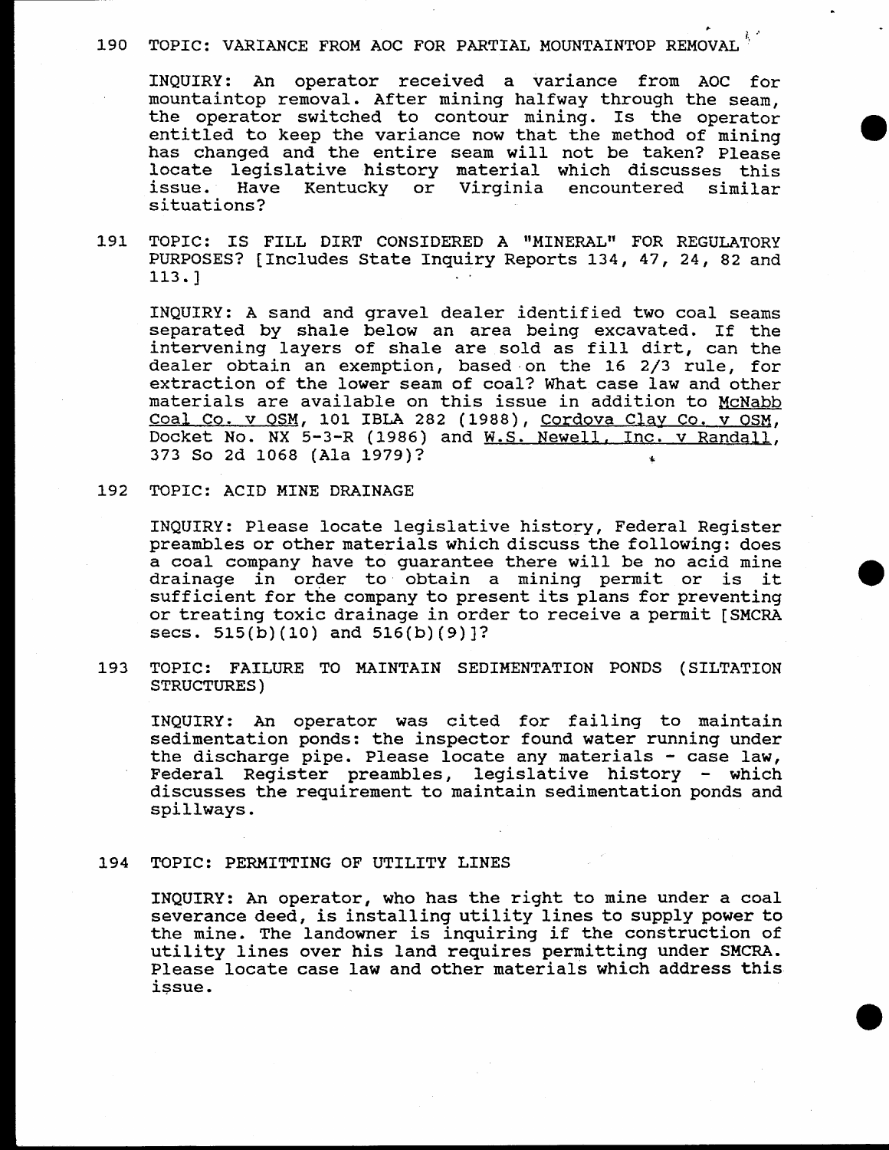## 190 TOPIC: VARIANCE FROM AOC FOR PARTIAL MOUNTAINTOP REMOVAL

INQUIRY: An operator received a variance from AOC for mountaintop removal. After mining halfway through the seam, the operator switched to contour mining. Is the operator entitled to keep the variance now that the method of mining has changed and the entire seam will not be taken? Please locate legislative history material which discusses this issue. Have Kentucky or Virginia encountered similar situations?

TOPIC: IS FILL DIRT CONSIDERED A "MINERAL" FOR REGULATORY 191 PURPOSES? [Includes State Inquiry Reports 134, 47, 24, 82 and  $113.$ ]

INQUIRY: A sand and gravel dealer identified two coal seams separated by shale below an area being excavated. If the intervening layers of shale are sold as fill dirt, can the dealer obtain an exemption, based on the 16 2/3 rule, for extraction of the lower seam of coal? What case law and other materials are available on this issue in addition to McNabb Coal Co. v OSM, 101 IBLA 282 (1988), Cordova Clay Co. v OSM, Docket No. NX 5-3-R (1986) and W.S. Newell, Inc. v Randall, 373 So 2d 1068 (Ala 1979)?

192 TOPIC: ACID MINE DRAINAGE

INQUIRY: Please locate legislative history, Federal Register preambles or other materials which discuss the following: does a coal company have to guarantee there will be no acid mine drainage in order to obtain a mining permit or is it. sufficient for the company to present its plans for preventing or treating toxic drainage in order to receive a permit [SMCRA secs.  $515(b)(10)$  and  $516(b)(9)$ ?

TOPIC: FAILURE TO MAINTAIN SEDIMENTATION PONDS (SILTATION 193 **STRUCTURES)** 

INQUIRY: An operator was cited for failing to maintain sedimentation ponds: the inspector found water running under the discharge pipe. Please locate any materials - case law, Federal Register preambles, legislative history - which discusses the requirement to maintain sedimentation ponds and spillways.

#### 194 TOPIC: PERMITTING OF UTILITY LINES

INQUIRY: An operator, who has the right to mine under a coal severance deed, is installing utility lines to supply power to the mine. The landowner is inquiring if the construction of utility lines over his land requires permitting under SMCRA. Please locate case law and other materials which address this issue.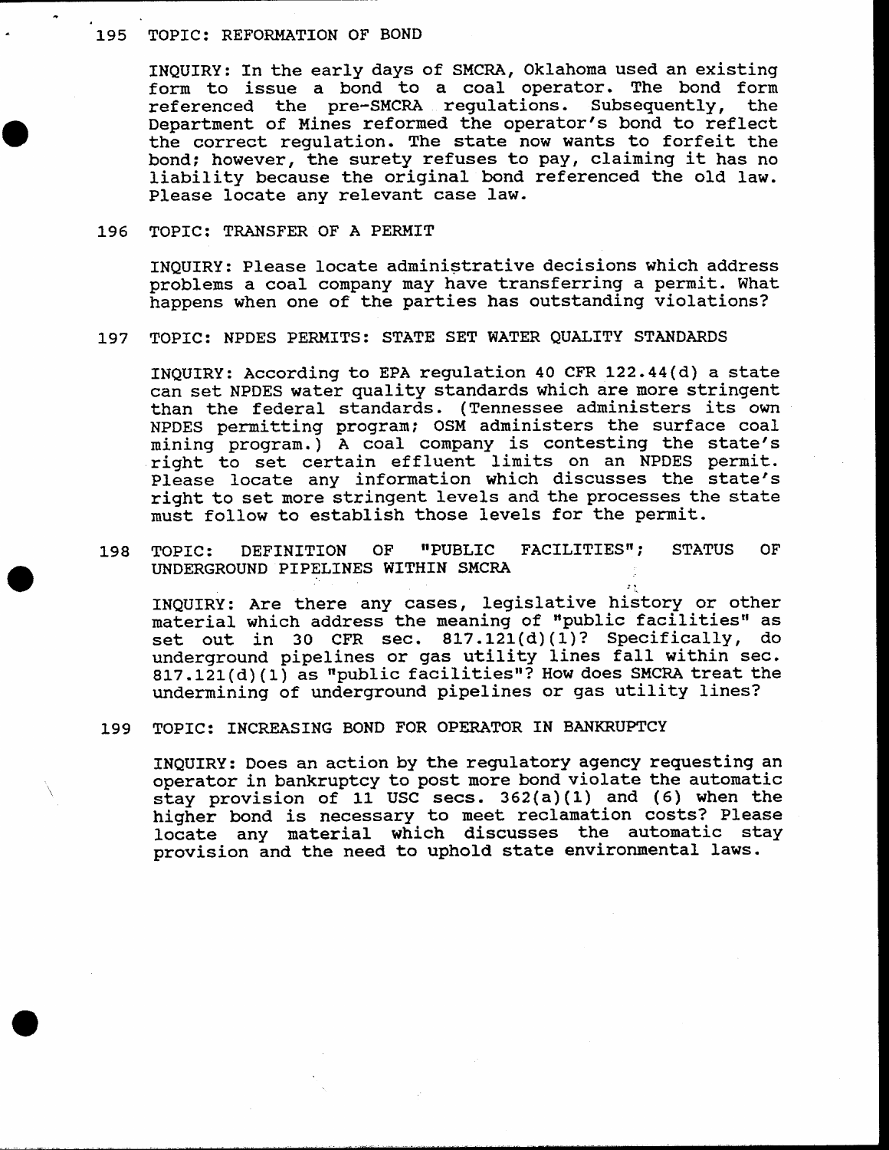#### 195 TOPIC: REFORMATION OF BOND

INQUIRY: In the early days of SMCRA, Oklahoma used an existing form to issue a bond to a coal operator. The bond form<br>referenced the pre-SMCRA requlations. Subsequently, the referenced the pre-SMCRA regulations. Subsequently, Department of Mines reformed the operator's bond to reflect the correct regulation. The state now wants to forfeit the bond; however, the surety refuses to pay, claiming it has no liability because the original bond referenced the old Iaw. Please locate any relevant case law.

#### 196 TOPTC: TRANSFER OF A PERMTT

INQUIRY: Please locate administrative decisions which address problems a coal company may have transferring a permit. What happens when one of the parties has outstanding violations?

#### 197 TOPIC: NPDES PERMITS: STATE SET WATER QUALITY STANDARDS

INQUIRY: According to EPA regulation 40 CFR 122.44(d) a state can set NPDES water quality standards which are more stringent than the federal standards. (Tennessee administers its own NPDES pernitting program; OSM administers the surface coal mining program.) A coal company is contesting the state's right to set certain effluent linits on an NPDES permit. Please locate any information which discusses the state's right to set more stringent levels and the processes the state must follow to establish those levels for the permit.

198 TOPIC: DEFINITION OF "PUBLIC FACILITIES"; STATUS OF UNDERGROUND PIPELINES WITHIN SMCRA

INQUIRY: Are there any cases, legislative history or other material which address the meaning of "public facilities" as set out in 30 CFR sec. 817.121(d)(1)? Specifically, do underground pipelines or gas utility lines fall within sec.  $817.121(d)(1)$  as "public facilities"? How does SMCRA treat the undermining of underground pipelines or gas utility lines?

#### 199 TOPIC: INCREASING BOND FOR OPERATOR IN BANKRUPTCY

INQUIRY: Does an action by the regulatory agency requesting an operator in bankruptcy to post more bond violate the automatic stay provision of 11 USc secs. 362(a) (1) and (6) when the higher bond is necessary to meet reclamation costs? Please locate any material which discusses the automatic stay provision and. the need to uphold state environmental laws.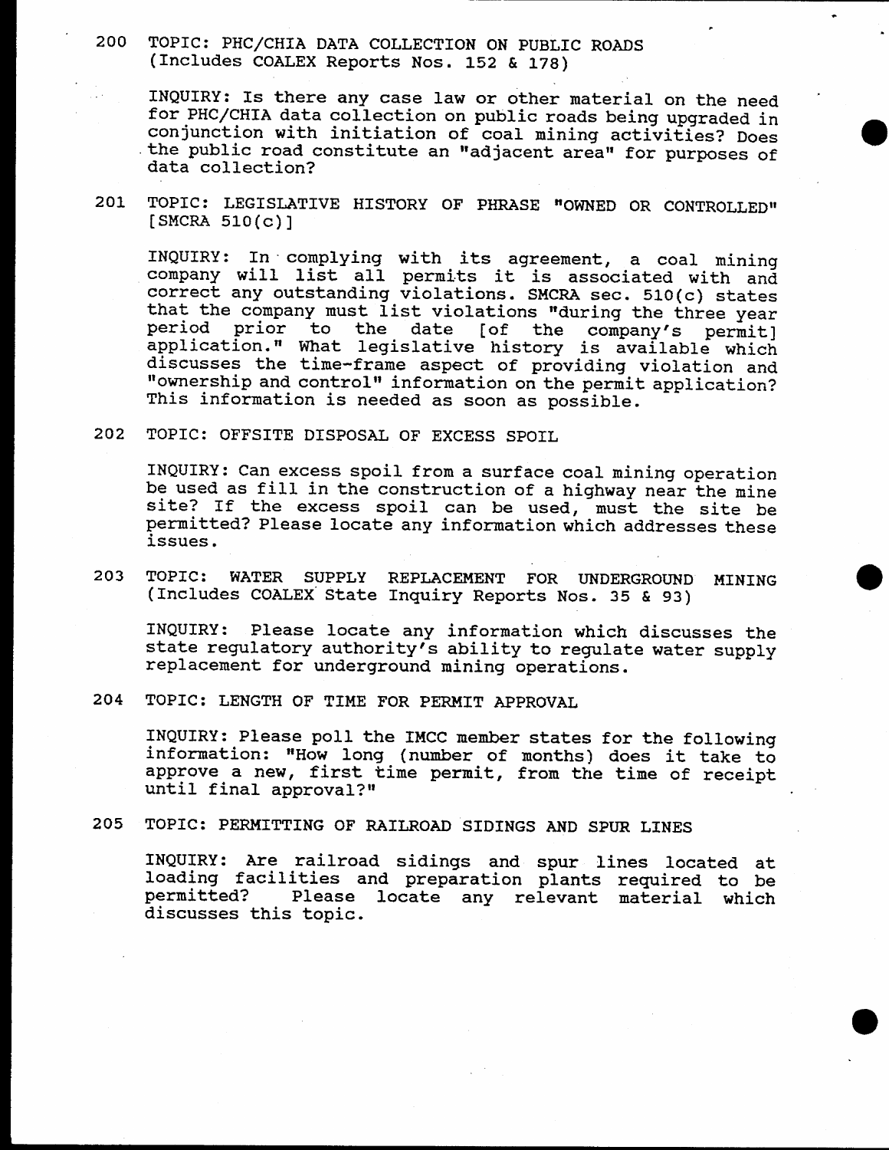200 TOPIC: PHC/CHIA DATA COLLECTION ON PUBLIC ROADS (Includes COALEX Reports Nos. 152 & 178)

INQUIRY: Is there any case law or other material on the need for PHC/CHIA data collection on public roads being upgraded in conjunction with initiation of coal mining activities? Does the public road constitute an "adjacent area" for purposes of data collection?

201 TOPIC: LEGISLATIVE HISTORY OF PHRASE "OWNED OR CONTROLLED"  $[SMCRA 510(c)]$ 

INQUIRY: In complying with its agreement, a coal mining company will list all permits it is associated with and correct any outstanding violations. SMCRA sec. 510(c) states<br>that the company must list violations "during the three year<br>period prior to the date [of the company's permit]<br>application." What legislative history is availab

292 TOPICI OFFSITE DTSPOSAI, oF ExcESS SPOIL

INQUIRY: Can excess spoil from a surface coal mining operation<br>be used as fill in the construction of a highway near the mine<br>site? If the excess spoil can be used, must the site be<br>permitted? Please locate any information

203 TOPIC: WATER SUPPLY REPLACEMENT FOR UNDERGROUND MINING (Includes COALEX State Inquiry Reports Nos. 35 & 93)

INQUIRY: Please locate any information which discusses the state regulatory authority's ability to regulate water supply replacement for underground mining operations.

204 TOPIC: LENGTH OF TIME FOR PERMIT APPROVAL

INQUIRY: Please poll the IMCC member states for the following<br>information: "How long ( number of months ) does it take to approve a new, first time permit, from the time of receipt until final approval?"

#### 205 TOPIC: PERMITTING OF RAILROAD SIDINGS AND SPUR LINES

INQUIRY: Are railroad sidings and spur lines located at loading facilities and preparation plants required to be permitted? Please locate any relevant material which discusses this topic.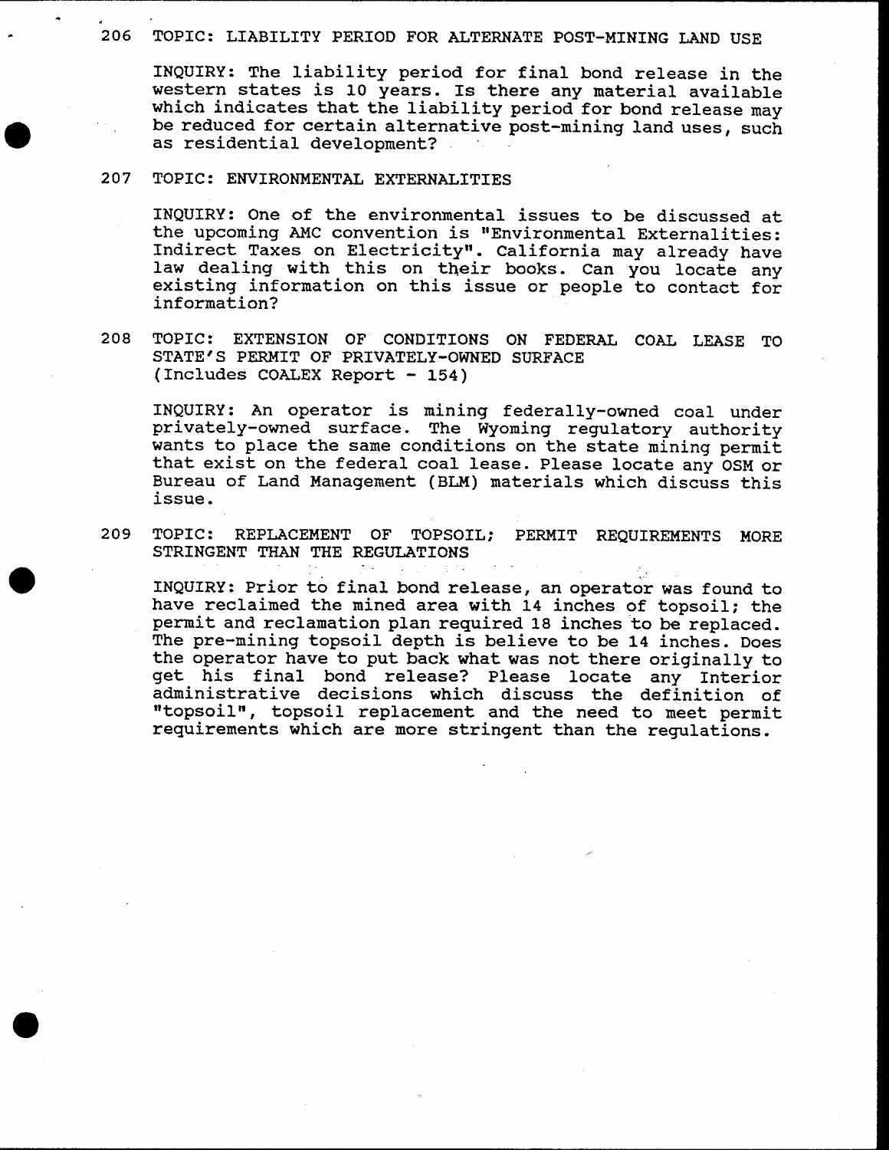#### 206 TOPIC: LIABILITY PERIOD FOR ALTERNATE POST-MINING LAND USE

INQUIRY: The liability period for final bond release in the<br>western states is 10 years. Is there any material available<br>which indicates that the liability period for bond release may<br>be reduced for certain alternative post as residential development?

#### 207 TOPIC: ENVIRONMENTAL EXTERNALITIES

INQUIRY: One of the environmental issues to be discussed at<br>the upcoming AMC convention is "Environmental Externalities:<br>Indirect Taxes on Electricity". California may already have<br>law dealing with this on their books. Can

208 TOPIC: EXTENSIOH OF CONDITIOHS OH FEDERAL COAT LEASE TO STATE'S PERMIT OF PRIVATELY-OWNED SURFACE  $(Includes COALEX Report - 154)$ 

INQUIRY: An operator is mining federally-owned coal under<br>privately-owned surface. The Wyoming regulatory authority<br>wants to place the same conditions on the state mining permit that exist on the federal coal lease. Please locate any OSM or Bureau of Land Management ( BLM) materials which discuss this issue.

209 TOPIC: REPLACEMENT OF TOPSOIL; PERMIT REQUIREMENTS MORE STRINGENT THAN THE REGULATIONS

INQUIRY: Prior to final bond release, an operator was found to have reclaimed the mined area with 14 inches of topsoil; the permit and reclamation plan required 18 inches to be replaced.<br>The pre-mining topsoil depth is believe to be 14 inches. Does the operator have to put back what was not there originally to<br>get his final bond release? Please locate any Interior<br>administrative decisions which discuss the definition of<br>"topsoil", topsoil replacement and the need to requirements which are more stringent than the regulations.